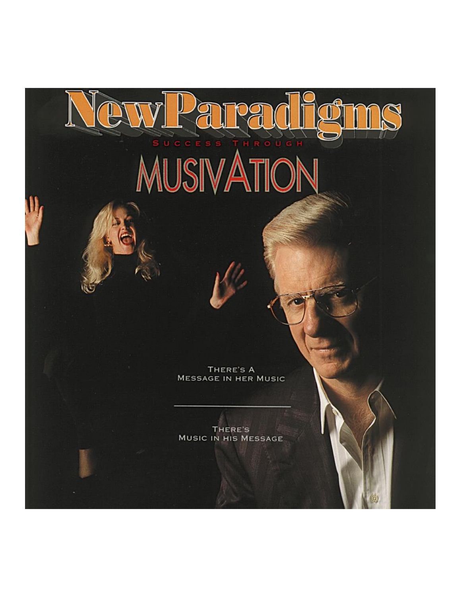# MUSIVATION

THERE'S A **MESSAGE IN HER MUSIC** 

THERE'S **MUSIC IN HIS MESSAGE**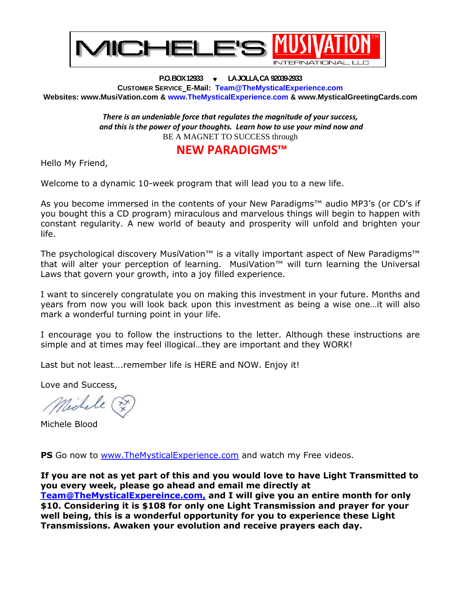

**P.O. BOX 12933 LA JOLLA, CA 92039-2933 CUSTOMER SERVICE E-Mail: [Team@TheMysticalExperience.com](mailto:Team@TheMysticalExperience.com) Websites: [www.MusiVation.com](http://www.musivation.com/) & [www.TheMysticalExperience.com](http://www.themysticalexperience.com/) & [www.MysticalGreetingCards.com](http://www.mysticalgreetingcards.com/)**

> *There is an undeniable force that regulates the magnitude of your success, and this is the power of your thoughts. Learn how to use your mind now and* BE A MAGNET TO SUCCESS through

# **NEW PARADIGMS™**

Hello My Friend,

Welcome to a dynamic 10-week program that will lead you to a new life.

As you become immersed in the contents of your New Paradigms™ audio MP3's (or CD's if you bought this a CD program) miraculous and marvelous things will begin to happen with constant regularity. A new world of beauty and prosperity will unfold and brighten your life.

The psychological discovery MusiVation™ is a vitally important aspect of New Paradigms™ that will alter your perception of learning. MusiVation™ will turn learning the Universal Laws that govern your growth, into a joy filled experience.

I want to sincerely congratulate you on making this investment in your future. Months and years from now you will look back upon this investment as being a wise one…it will also mark a wonderful turning point in your life.

I encourage you to follow the instructions to the letter. Although these instructions are simple and at times may feel illogical…they are important and they WORK!

Last but not least.... remember life is HERE and NOW. Enjoy it!

Love and Success,

Nechell

Michele Blood

**PS** Go now to [www.TheMysticalExperience.com](http://www.themysticalexperience.com/) and watch my Free videos.

**If you are not as yet part of this and you would love to have Light Transmitted to you every week, please go ahead and email me directly at [Team@TheMysticalExpereince.com,](mailto:Team@TheMysticalExpereince.com) and I will give you an entire month for only \$10. Considering it is \$108 for only one Light Transmission and prayer for your well being, this is a wonderful opportunity for you to experience these Light Transmissions. Awaken your evolution and receive prayers each day.**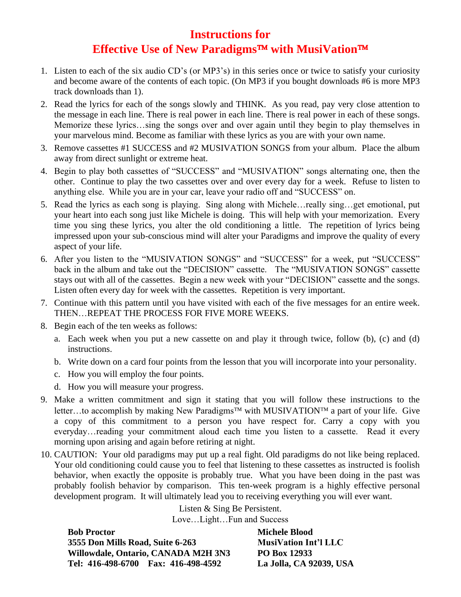# **Instructions for Effective Use of New Paradigms with MusiVation**

- 1. Listen to each of the six audio CD's (or MP3's) in this series once or twice to satisfy your curiosity and become aware of the contents of each topic. (On MP3 if you bought downloads #6 is more MP3 track downloads than 1).
- 2. Read the lyrics for each of the songs slowly and THINK. As you read, pay very close attention to the message in each line. There is real power in each line. There is real power in each of these songs. Memorize these lyrics…sing the songs over and over again until they begin to play themselves in your marvelous mind. Become as familiar with these lyrics as you are with your own name.
- 3. Remove cassettes #1 SUCCESS and #2 MUSIVATION SONGS from your album. Place the album away from direct sunlight or extreme heat.
- 4. Begin to play both cassettes of "SUCCESS" and "MUSIVATION" songs alternating one, then the other. Continue to play the two cassettes over and over every day for a week. Refuse to listen to anything else. While you are in your car, leave your radio off and "SUCCESS" on.
- 5. Read the lyrics as each song is playing. Sing along with Michele…really sing…get emotional, put your heart into each song just like Michele is doing. This will help with your memorization. Every time you sing these lyrics, you alter the old conditioning a little. The repetition of lyrics being impressed upon your sub-conscious mind will alter your Paradigms and improve the quality of every aspect of your life.
- 6. After you listen to the "MUSIVATION SONGS" and "SUCCESS" for a week, put "SUCCESS" back in the album and take out the "DECISION" cassette. The "MUSIVATION SONGS" cassette stays out with all of the cassettes. Begin a new week with your "DECISION" cassette and the songs. Listen often every day for week with the cassettes. Repetition is very important.
- 7. Continue with this pattern until you have visited with each of the five messages for an entire week. THEN…REPEAT THE PROCESS FOR FIVE MORE WEEKS.
- 8. Begin each of the ten weeks as follows:
	- a. Each week when you put a new cassette on and play it through twice, follow (b), (c) and (d) instructions.
	- b. Write down on a card four points from the lesson that you will incorporate into your personality.
	- c. How you will employ the four points.
	- d. How you will measure your progress.
- 9. Make a written commitment and sign it stating that you will follow these instructions to the letter...to accomplish by making New Paradigms<sup>TM</sup> with MUSIVATION<sup>TM</sup> a part of your life. Give a copy of this commitment to a person you have respect for. Carry a copy with you everyday…reading your commitment aloud each time you listen to a cassette. Read it every morning upon arising and again before retiring at night.
- 10. CAUTION: Your old paradigms may put up a real fight. Old paradigms do not like being replaced. Your old conditioning could cause you to feel that listening to these cassettes as instructed is foolish behavior, when exactly the opposite is probably true. What you have been doing in the past was probably foolish behavior by comparison. This ten-week program is a highly effective personal development program. It will ultimately lead you to receiving everything you will ever want.

Listen & Sing Be Persistent. Love…Light…Fun and Success

**Bob Proctor Michele Blood 3555 Don Mills Road, Suite 6-263 MusiVation Int'l LLC Willowdale, Ontario, CANADA M2H 3N3 PO Box 12933 Tel: 416-498-6700 Fax: 416-498-4592 La Jolla, CA 92039, USA**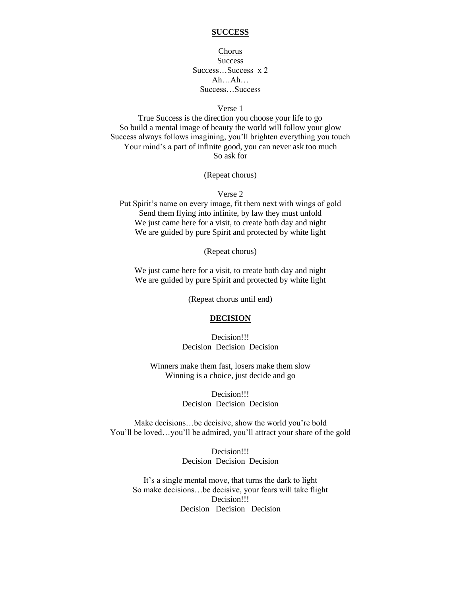# **SUCCESS**

Chorus **Success** Success…Success x 2 Ah…Ah… Success…Success

#### Verse 1

True Success is the direction you choose your life to go So build a mental image of beauty the world will follow your glow Success always follows imagining, you'll brighten everything you touch Your mind's a part of infinite good, you can never ask too much So ask for

(Repeat chorus)

# Verse 2

Put Spirit's name on every image, fit them next with wings of gold Send them flying into infinite, by law they must unfold We just came here for a visit, to create both day and night We are guided by pure Spirit and protected by white light

(Repeat chorus)

We just came here for a visit, to create both day and night We are guided by pure Spirit and protected by white light

(Repeat chorus until end)

# **DECISION**

Decision!!! Decision Decision Decision

Winners make them fast, losers make them slow Winning is a choice, just decide and go

> Decision!!! Decision Decision Decision

Make decisions…be decisive, show the world you're bold You'll be loved…you'll be admired, you'll attract your share of the gold

> Decision!!! Decision Decision Decision

It's a single mental move, that turns the dark to light So make decisions…be decisive, your fears will take flight Decision!!! Decision Decision Decision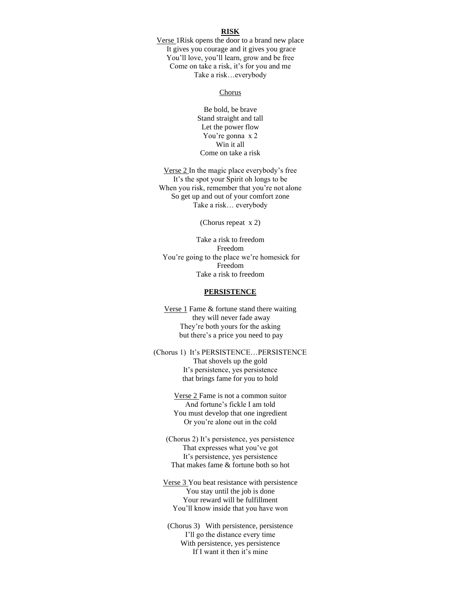#### **RISK**

Verse 1Risk opens the door to a brand new place It gives you courage and it gives you grace You'll love, you'll learn, grow and be free Come on take a risk, it's for you and me Take a risk…everybody

#### Chorus

Be bold, be brave Stand straight and tall Let the power flow You're gonna x 2 Win it all Come on take a risk

Verse 2 In the magic place everybody's free It's the spot your Spirit oh longs to be When you risk, remember that you're not alone So get up and out of your comfort zone Take a risk… everybody

(Chorus repeat x 2)

Take a risk to freedom Freedom You're going to the place we're homesick for Freedom Take a risk to freedom

#### **PERSISTENCE**

Verse 1 Fame & fortune stand there waiting they will never fade away They're both yours for the asking but there's a price you need to pay

(Chorus 1) It's PERSISTENCE…PERSISTENCE That shovels up the gold It's persistence, yes persistence that brings fame for you to hold

> Verse 2 Fame is not a common suitor And fortune's fickle I am told You must develop that one ingredient Or you're alone out in the cold

(Chorus 2) It's persistence, yes persistence That expresses what you've got It's persistence, yes persistence That makes fame & fortune both so hot

Verse 3 You beat resistance with persistence You stay until the job is done Your reward will be fulfillment You'll know inside that you have won

(Chorus 3) With persistence, persistence I'll go the distance every time With persistence, yes persistence If I want it then it's mine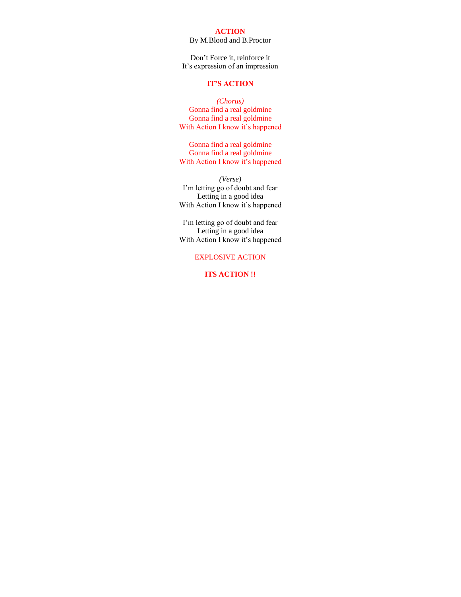### **ACTION**

# By M.Blood and B.Proctor

Don't Force it, reinforce it It's expression of an impression

# **IT'S ACTION**

*(Chorus)* Gonna find a real goldmine Gonna find a real goldmine With Action I know it's happened

Gonna find a real goldmine Gonna find a real goldmine With Action I know it's happened

*(Verse)* I'm letting go of doubt and fear Letting in a good idea With Action I know it's happened

I'm letting go of doubt and fear Letting in a good idea With Action I know it's happened

# EXPLOSIVE ACTION

**ITS ACTION !!**